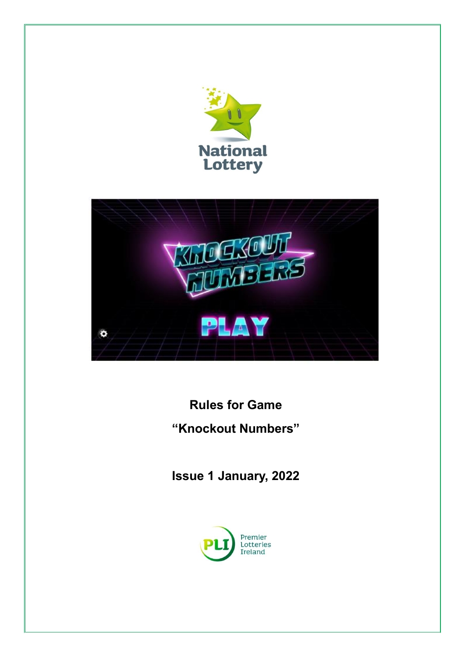



# **Rules for Game**

# **"Knockout Numbers"**

**Issue 1 January, 2022**

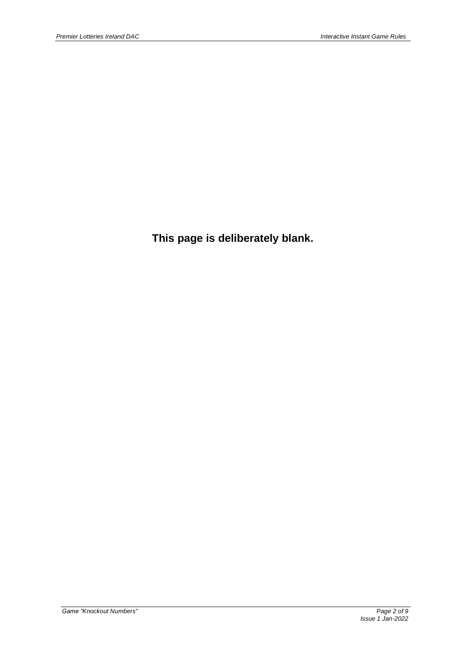**This page is deliberately blank.**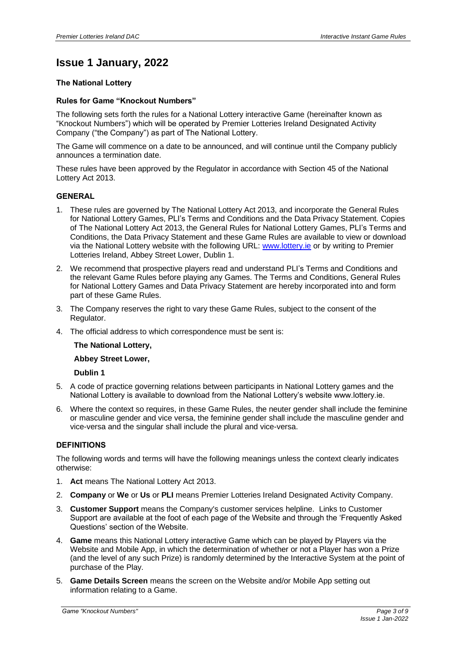# **Issue 1 January, 2022**

#### **The National Lottery**

#### **Rules for Game "Knockout Numbers"**

The following sets forth the rules for a National Lottery interactive Game (hereinafter known as "Knockout Numbers") which will be operated by Premier Lotteries Ireland Designated Activity Company ("the Company") as part of The National Lottery.

The Game will commence on a date to be announced, and will continue until the Company publicly announces a termination date.

These rules have been approved by the Regulator in accordance with Section 45 of the National Lottery Act 2013.

#### **GENERAL**

- 1. These rules are governed by The National Lottery Act 2013, and incorporate the General Rules for National Lottery Games, PLI's Terms and Conditions and the Data Privacy Statement. Copies of The National Lottery Act 2013, the General Rules for National Lottery Games, PLI's Terms and Conditions, the Data Privacy Statement and these Game Rules are available to view or download via the National Lottery website with the following URL: [www.lottery.ie](http://www.lotto.ie/) or by writing to Premier Lotteries Ireland, Abbey Street Lower, Dublin 1.
- 2. We recommend that prospective players read and understand PLI's Terms and Conditions and the relevant Game Rules before playing any Games. The Terms and Conditions, General Rules for National Lottery Games and Data Privacy Statement are hereby incorporated into and form part of these Game Rules.
- 3. The Company reserves the right to vary these Game Rules, subject to the consent of the Regulator.
- 4. The official address to which correspondence must be sent is:

#### **The National Lottery,**

#### **Abbey Street Lower,**

#### **Dublin 1**

- 5. A code of practice governing relations between participants in National Lottery games and the National Lottery is available to download from the National Lottery's website www.lottery.ie.
- 6. Where the context so requires, in these Game Rules, the neuter gender shall include the feminine or masculine gender and vice versa, the feminine gender shall include the masculine gender and vice-versa and the singular shall include the plural and vice-versa.

#### **DEFINITIONS**

The following words and terms will have the following meanings unless the context clearly indicates otherwise:

- 1. **Act** means The National Lottery Act 2013.
- 2. **Company** or **We** or **Us** or **PLI** means Premier Lotteries Ireland Designated Activity Company.
- 3. **Customer Support** means the Company's customer services helpline. Links to Customer Support are available at the foot of each page of the Website and through the 'Frequently Asked Questions' section of the Website.
- 4. **Game** means this National Lottery interactive Game which can be played by Players via the Website and Mobile App, in which the determination of whether or not a Player has won a Prize (and the level of any such Prize) is randomly determined by the Interactive System at the point of purchase of the Play.
- 5. **Game Details Screen** means the screen on the Website and/or Mobile App setting out information relating to a Game.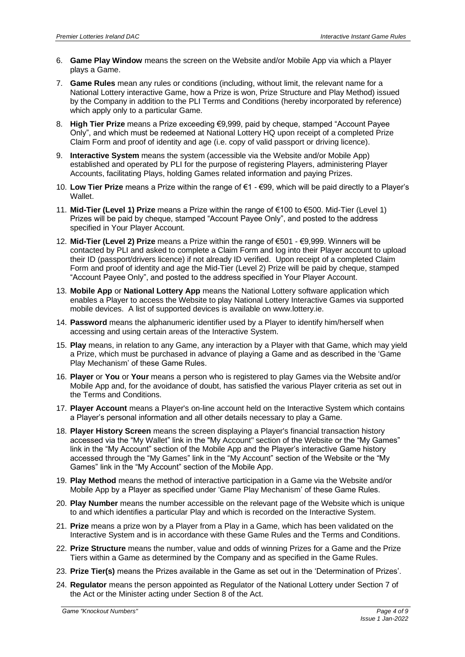- 6. **Game Play Window** means the screen on the Website and/or Mobile App via which a Player plays a Game.
- 7. **Game Rules** mean any rules or conditions (including, without limit, the relevant name for a National Lottery interactive Game, how a Prize is won, Prize Structure and Play Method) issued by the Company in addition to the PLI Terms and Conditions (hereby incorporated by reference) which apply only to a particular Game.
- 8. **High Tier Prize** means a Prize exceeding €9,999, paid by cheque, stamped "Account Payee Only", and which must be redeemed at National Lottery HQ upon receipt of a completed Prize Claim Form and proof of identity and age (i.e. copy of valid passport or driving licence).
- 9. **Interactive System** means the system (accessible via the Website and/or Mobile App) established and operated by PLI for the purpose of registering Players, administering Player Accounts, facilitating Plays, holding Games related information and paying Prizes.
- 10. **Low Tier Prize** means a Prize within the range of €1 €99, which will be paid directly to a Player's Wallet.
- 11. **Mid-Tier (Level 1) Prize** means a Prize within the range of €100 to €500. Mid-Tier (Level 1) Prizes will be paid by cheque, stamped "Account Payee Only", and posted to the address specified in Your Player Account.
- 12. **Mid-Tier (Level 2) Prize** means a Prize within the range of €501 €9,999. Winners will be contacted by PLI and asked to complete a Claim Form and log into their Player account to upload their ID (passport/drivers licence) if not already ID verified. Upon receipt of a completed Claim Form and proof of identity and age the Mid-Tier (Level 2) Prize will be paid by cheque, stamped "Account Payee Only", and posted to the address specified in Your Player Account.
- 13. **Mobile App** or **National Lottery App** means the National Lottery software application which enables a Player to access the Website to play National Lottery Interactive Games via supported mobile devices. A list of supported devices is available on www.lottery.ie.
- 14. **Password** means the alphanumeric identifier used by a Player to identify him/herself when accessing and using certain areas of the Interactive System.
- 15. **Play** means, in relation to any Game, any interaction by a Player with that Game, which may yield a Prize, which must be purchased in advance of playing a Game and as described in the 'Game Play Mechanism' of these Game Rules.
- 16. **Player** or **You** or **Your** means a person who is registered to play Games via the Website and/or Mobile App and, for the avoidance of doubt, has satisfied the various Player criteria as set out in the Terms and Conditions.
- 17. **Player Account** means a Player's on-line account held on the Interactive System which contains a Player's personal information and all other details necessary to play a Game.
- 18. **Player History Screen** means the screen displaying a Player's financial transaction history accessed via the "My Wallet" link in the "My Account" section of the Website or the "My Games" link in the "My Account" section of the Mobile App and the Player's interactive Game history accessed through the "My Games" link in the "My Account" section of the Website or the "My Games" link in the "My Account" section of the Mobile App.
- 19. **Play Method** means the method of interactive participation in a Game via the Website and/or Mobile App by a Player as specified under 'Game Play Mechanism' of these Game Rules.
- 20. **Play Number** means the number accessible on the relevant page of the Website which is unique to and which identifies a particular Play and which is recorded on the Interactive System.
- 21. **Prize** means a prize won by a Player from a Play in a Game, which has been validated on the Interactive System and is in accordance with these Game Rules and the Terms and Conditions.
- 22. **Prize Structure** means the number, value and odds of winning Prizes for a Game and the Prize Tiers within a Game as determined by the Company and as specified in the Game Rules.
- 23. **Prize Tier(s)** means the Prizes available in the Game as set out in the 'Determination of Prizes'.
- 24. **Regulator** means the person appointed as Regulator of the National Lottery under Section 7 of the Act or the Minister acting under Section 8 of the Act.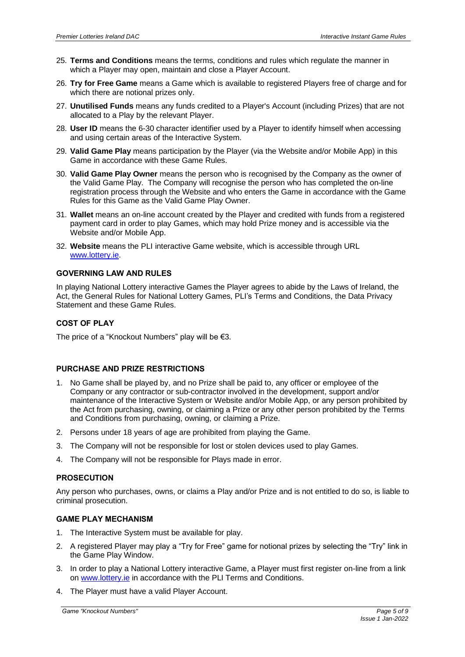- 25. **Terms and Conditions** means the terms, conditions and rules which regulate the manner in which a Player may open, maintain and close a Player Account.
- 26. **Try for Free Game** means a Game which is available to registered Players free of charge and for which there are notional prizes only.
- 27. **Unutilised Funds** means any funds credited to a Player's Account (including Prizes) that are not allocated to a Play by the relevant Player.
- 28. **User ID** means the 6-30 character identifier used by a Player to identify himself when accessing and using certain areas of the Interactive System.
- 29. **Valid Game Play** means participation by the Player (via the Website and/or Mobile App) in this Game in accordance with these Game Rules.
- 30. **Valid Game Play Owner** means the person who is recognised by the Company as the owner of the Valid Game Play. The Company will recognise the person who has completed the on-line registration process through the Website and who enters the Game in accordance with the Game Rules for this Game as the Valid Game Play Owner.
- 31. **Wallet** means an on-line account created by the Player and credited with funds from a registered payment card in order to play Games, which may hold Prize money and is accessible via the Website and/or Mobile App.
- 32. **Website** means the PLI interactive Game website, which is accessible through URL www.lottery.ie.

#### **GOVERNING LAW AND RULES**

In playing National Lottery interactive Games the Player agrees to abide by the Laws of Ireland, the Act, the General Rules for National Lottery Games, PLI's Terms and Conditions, the Data Privacy Statement and these Game Rules.

#### **COST OF PLAY**

The price of a "Knockout Numbers" play will be €3.

#### **PURCHASE AND PRIZE RESTRICTIONS**

- 1. No Game shall be played by, and no Prize shall be paid to, any officer or employee of the Company or any contractor or sub-contractor involved in the development, support and/or maintenance of the Interactive System or Website and/or Mobile App, or any person prohibited by the Act from purchasing, owning, or claiming a Prize or any other person prohibited by the Terms and Conditions from purchasing, owning, or claiming a Prize.
- 2. Persons under 18 years of age are prohibited from playing the Game.
- 3. The Company will not be responsible for lost or stolen devices used to play Games.
- 4. The Company will not be responsible for Plays made in error.

#### **PROSECUTION**

Any person who purchases, owns, or claims a Play and/or Prize and is not entitled to do so, is liable to criminal prosecution.

#### **GAME PLAY MECHANISM**

- 1. The Interactive System must be available for play.
- 2. A registered Player may play a "Try for Free" game for notional prizes by selecting the "Try" link in the Game Play Window.
- 3. In order to play a National Lottery interactive Game, a Player must first register on-line from a link on [www.lottery.ie](http://www.lotto.ie/) in accordance with the PLI Terms and Conditions.
- 4. The Player must have a valid Player Account.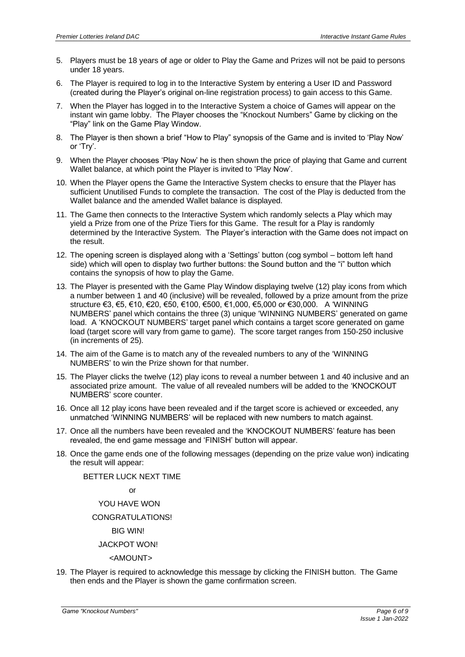- 5. Players must be 18 years of age or older to Play the Game and Prizes will not be paid to persons under 18 years.
- 6. The Player is required to log in to the Interactive System by entering a User ID and Password (created during the Player's original on-line registration process) to gain access to this Game.
- 7. When the Player has logged in to the Interactive System a choice of Games will appear on the instant win game lobby. The Player chooses the "Knockout Numbers" Game by clicking on the "Play" link on the Game Play Window.
- 8. The Player is then shown a brief "How to Play" synopsis of the Game and is invited to 'Play Now' or 'Try'.
- 9. When the Player chooses 'Play Now' he is then shown the price of playing that Game and current Wallet balance, at which point the Player is invited to 'Play Now'.
- 10. When the Player opens the Game the Interactive System checks to ensure that the Player has sufficient Unutilised Funds to complete the transaction. The cost of the Play is deducted from the Wallet balance and the amended Wallet balance is displayed.
- 11. The Game then connects to the Interactive System which randomly selects a Play which may yield a Prize from one of the Prize Tiers for this Game. The result for a Play is randomly determined by the Interactive System. The Player's interaction with the Game does not impact on the result.
- 12. The opening screen is displayed along with a 'Settings' button (cog symbol bottom left hand side) which will open to display two further buttons: the Sound button and the "i" button which contains the synopsis of how to play the Game.
- 13. The Player is presented with the Game Play Window displaying twelve (12) play icons from which a number between 1 and 40 (inclusive) will be revealed, followed by a prize amount from the prize structure €3, €5, €10, €20, €50, €100, €500, €1,000, €5,000 or €30,000. A 'WINNING NUMBERS' panel which contains the three (3) unique 'WINNING NUMBERS' generated on game load. A 'KNOCKOUT NUMBERS' target panel which contains a target score generated on game load (target score will vary from game to game). The score target ranges from 150-250 inclusive (in increments of 25).
- 14. The aim of the Game is to match any of the revealed numbers to any of the 'WINNING NUMBERS' to win the Prize shown for that number.
- 15. The Player clicks the twelve (12) play icons to reveal a number between 1 and 40 inclusive and an associated prize amount. The value of all revealed numbers will be added to the 'KNOCKOUT NUMBERS' score counter.
- 16. Once all 12 play icons have been revealed and if the target score is achieved or exceeded, any unmatched 'WINNING NUMBERS' will be replaced with new numbers to match against.
- 17. Once all the numbers have been revealed and the 'KNOCKOUT NUMBERS' feature has been revealed, the end game message and 'FINISH' button will appear.
- 18. Once the game ends one of the following messages (depending on the prize value won) indicating the result will appear:

BETTER LUCK NEXT TIME

**or** *or* **or** 

YOU HAVE WON

CONGRATULATIONS!

BIG WIN!

#### JACKPOT WON!

#### <AMOUNT>

19. The Player is required to acknowledge this message by clicking the FINISH button. The Game then ends and the Player is shown the game confirmation screen.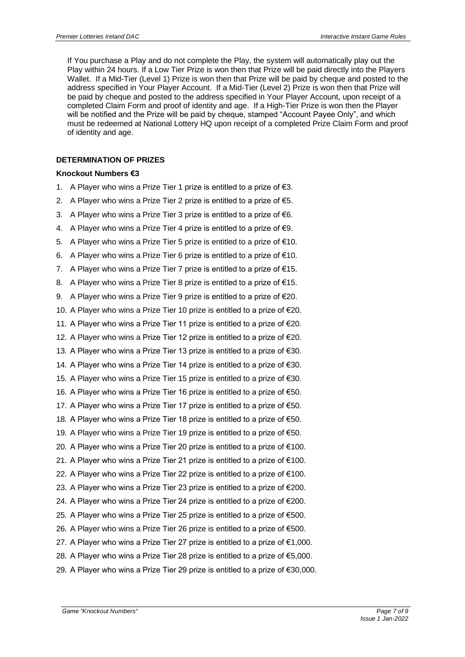If You purchase a Play and do not complete the Play, the system will automatically play out the Play within 24 hours. If a Low Tier Prize is won then that Prize will be paid directly into the Players Wallet. If a Mid-Tier (Level 1) Prize is won then that Prize will be paid by cheque and posted to the address specified in Your Player Account. If a Mid-Tier (Level 2) Prize is won then that Prize will be paid by cheque and posted to the address specified in Your Player Account, upon receipt of a completed Claim Form and proof of identity and age. If a High-Tier Prize is won then the Player will be notified and the Prize will be paid by cheque, stamped "Account Payee Only", and which must be redeemed at National Lottery HQ upon receipt of a completed Prize Claim Form and proof of identity and age.

#### **DETERMINATION OF PRIZES**

#### **Knockout Numbers €3**

- 1. A Player who wins a Prize Tier 1 prize is entitled to a prize of  $\epsilon$ 3.
- 2. A Player who wins a Prize Tier 2 prize is entitled to a prize of  $\epsilon$ 5.
- 3. A Player who wins a Prize Tier 3 prize is entitled to a prize of €6.
- 4. A Player who wins a Prize Tier 4 prize is entitled to a prize of  $\epsilon$ 9.
- 5. A Player who wins a Prize Tier 5 prize is entitled to a prize of €10.
- 6. A Player who wins a Prize Tier 6 prize is entitled to a prize of  $\epsilon$ 10.
- 7. A Player who wins a Prize Tier 7 prize is entitled to a prize of  $\epsilon$ 15.
- 8. A Player who wins a Prize Tier 8 prize is entitled to a prize of €15.
- 9. A Player who wins a Prize Tier 9 prize is entitled to a prize of €20.
- 10. A Player who wins a Prize Tier 10 prize is entitled to a prize of €20.
- 11. A Player who wins a Prize Tier 11 prize is entitled to a prize of €20.
- 12. A Player who wins a Prize Tier 12 prize is entitled to a prize of €20.
- 13. A Player who wins a Prize Tier 13 prize is entitled to a prize of €30.
- 14. A Player who wins a Prize Tier 14 prize is entitled to a prize of €30.
- 15. A Player who wins a Prize Tier 15 prize is entitled to a prize of €30.
- 16. A Player who wins a Prize Tier 16 prize is entitled to a prize of €50.
- 17. A Player who wins a Prize Tier 17 prize is entitled to a prize of €50.
- 18. A Player who wins a Prize Tier 18 prize is entitled to a prize of €50.
- 19. A Player who wins a Prize Tier 19 prize is entitled to a prize of €50.
- 20. A Player who wins a Prize Tier 20 prize is entitled to a prize of €100.
- 21. A Player who wins a Prize Tier 21 prize is entitled to a prize of €100.
- 22. A Player who wins a Prize Tier 22 prize is entitled to a prize of €100.
- 23. A Player who wins a Prize Tier 23 prize is entitled to a prize of €200.
- 24. A Player who wins a Prize Tier 24 prize is entitled to a prize of €200.
- 25. A Player who wins a Prize Tier 25 prize is entitled to a prize of €500.
- 26. A Player who wins a Prize Tier 26 prize is entitled to a prize of €500.
- 27. A Player who wins a Prize Tier 27 prize is entitled to a prize of €1,000.
- 28. A Player who wins a Prize Tier 28 prize is entitled to a prize of €5,000.
- 29. A Player who wins a Prize Tier 29 prize is entitled to a prize of €30,000.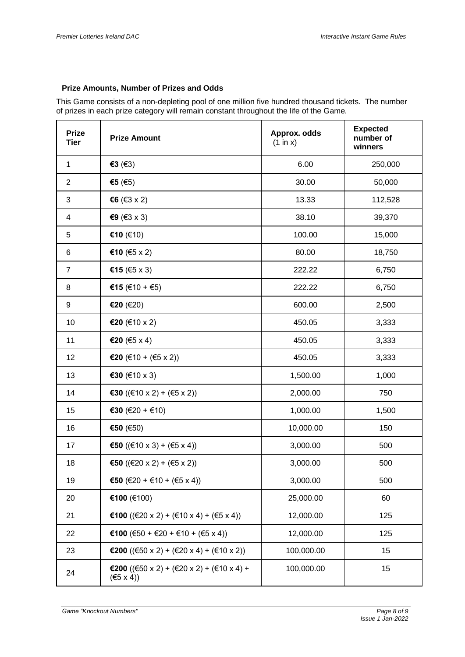### **Prize Amounts, Number of Prizes and Odds**

This Game consists of a non-depleting pool of one million five hundred thousand tickets. The number of prizes in each prize category will remain constant throughout the life of the Game.

| <b>Prize</b><br><b>Tier</b> | <b>Prize Amount</b>                                   | Approx. odds<br>$(1 \text{ in } x)$ | <b>Expected</b><br>number of<br>winners |
|-----------------------------|-------------------------------------------------------|-------------------------------------|-----------------------------------------|
| 1                           | €3 (€3)                                               | 6.00                                | 250,000                                 |
| $\overline{2}$              | €5 (€5)                                               | 30.00                               | 50,000                                  |
| 3                           | €6 (€3 x 2)                                           | 13.33                               | 112,528                                 |
| 4                           | €9 (€3 x 3)                                           | 38.10                               | 39,370                                  |
| 5                           | €10 (€10)                                             | 100.00                              | 15,000                                  |
| 6                           | €10 (€5 x 2)                                          | 80.00                               | 18,750                                  |
| $\overline{7}$              | €15 (€5 x 3)                                          | 222.22                              | 6,750                                   |
| 8                           | €15 (€10 + €5)                                        | 222.22                              | 6,750                                   |
| 9                           | €20 (€20)                                             | 600.00                              | 2,500                                   |
| 10                          | €20 (€10 x 2)                                         | 450.05                              | 3,333                                   |
| 11                          | €20 (€5 x 4)                                          | 450.05                              | 3,333                                   |
| 12                          | €20 (€10 + (€5 x 2))                                  | 450.05                              | 3,333                                   |
| 13                          | €30 (€10 x 3)                                         | 1,500.00                            | 1,000                                   |
| 14                          | €30 ( $(€10 \times 2) + (€5 \times 2)$ )              | 2,000.00                            | 750                                     |
| 15                          | €30 (€20 + €10)                                       | 1,000.00                            | 1,500                                   |
| 16                          | €50 (€50)                                             | 10,000.00                           | 150                                     |
| 17                          | €50 ((€10 x 3) + (€5 x 4))                            | 3,000.00                            | 500                                     |
| 18                          | €50 ((€20 x 2) + (€5 x 2))                            | 3,000.00                            | 500                                     |
| 19                          | €50 (€20 + €10 + (€5 x 4))                            | 3,000.00                            | 500                                     |
| 20                          | €100 (€100)                                           | 25,000.00                           | 60                                      |
| 21                          | €100 ((€20 x 2) + (€10 x 4) + (€5 x 4))               | 12,000.00                           | 125                                     |
| 22                          | €100 (€50 + €20 + €10 + (€5 x 4))                     | 12,000.00                           | 125                                     |
| 23                          | €200 ((€50 x 2) + (€20 x 4) + (€10 x 2))              | 100,000.00                          | 15                                      |
| 24                          | €200 ((€50 x 2) + (€20 x 2) + (€10 x 4) +<br>(€5 x 4) | 100,000.00                          | 15                                      |